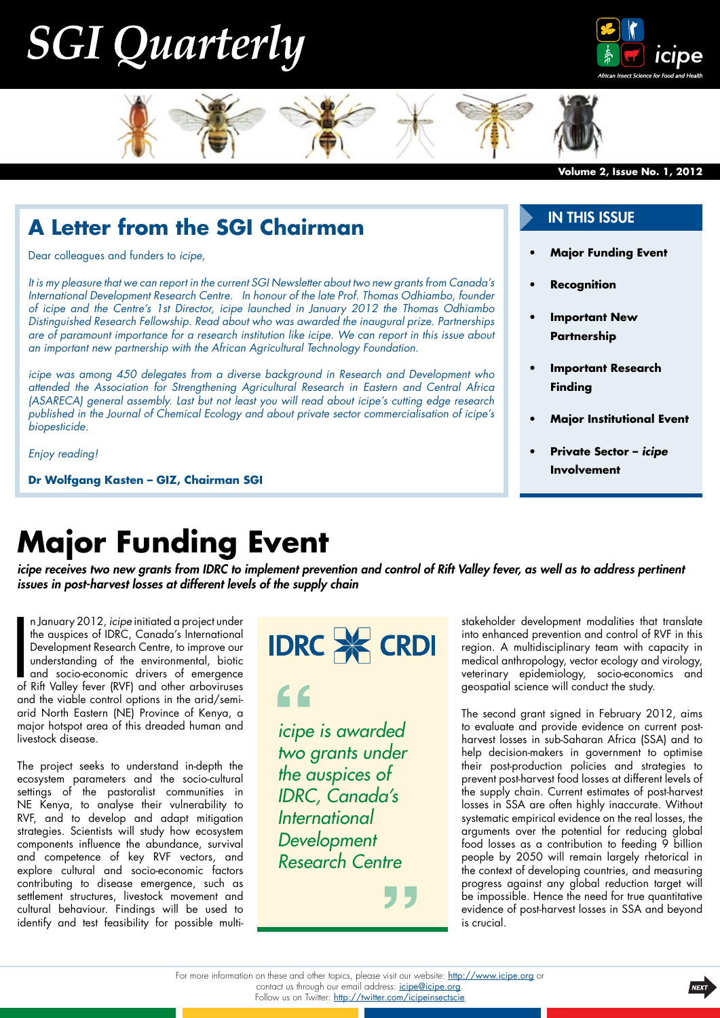## **SGI Quarterly**





#### **A Letter from the SGI Chairman**

Dear colleagues and funders to *icipe,*

*It is my pleasure that we can report in the current SGI Newsletter about two new grants from Canada's International Development Research Centre. In honour of the late Prof. Thomas Odhiambo, founder of icipe and the Centre's 1st Director, icipe launched in January 2012 the Thomas Odhiambo Distinguished Research Fellowship. Read about who was awarded the inaugural prize. Partnerships are of paramount importance for a research institution like icipe. We can report in this issue about an important new partnership with the African Agricultural Technology Foundation.* 

*icipe was among 450 delegates from a diverse background in Research and Development who attended the Association for Strengthening Agricultural Research in Eastern and Central Africa (ASARECA) general assembly. Last but not least you will read about icipe's cutting edge research published in the Journal of Chemical Ecology and about private sector commercialisation of icipe's biopesticide.* 

*Enjoy reading!*

**Dr Wolfgang Kasten – GIZ, Chairman SGI**

#### In this issue

- **[Major Funding Event](#page-0-0)**
- **• [Recognition](#page-1-0)**
- **Important New [Partnership](#page-1-1)**
- **Important Research [Finding](#page-1-2)**
- **[Major Institutional Event](#page-2-0)**
- **Private Sector** *icipe* **[Involvement](#page-2-1)**

### <span id="page-0-0"></span>**Major Funding Event**

*icipe receives two new grants from IDRC to implement prevention and control of Rift Valley fever, as well as to address pertinent issues in post-harvest losses at different levels of the supply chain*

n January 2012, *icipe* initiated a project under<br>the auspices of IDRC, Canada's International<br>Development Research Centre, to improve our<br>understanding of the environmental, biotic<br>and socio-economic drivers of emergence<br> n January 2012, *icipe* initiated a project under the auspices of IDRC, Canada's International Development Research Centre, to improve our understanding of the environmental, biotic and socio-economic drivers of emergence and the viable control options in the arid/semiarid North Eastern (NE) Province of Kenya, a major hotspot area of this dreaded human and livestock disease.

The project seeks to understand in-depth the ecosystem parameters and the socio-cultural settings of the pastoralist communities in NE Kenya, to analyse their vulnerability to RVF, and to develop and adapt mitigation strategies. Scientists will study how ecosystem components influence the abundance, survival and competence of key RVF vectors, and explore cultural and socio-economic factors contributing to disease emergence, such as settlement structures, livestock movement and cultural behaviour. Findings will be used to identify and test feasibility for possible multi-



#### $\epsilon$

*icipe is awarded two grants under the auspices of IDRC, Canada's International Development Research Centre* 

stakeholder development modalities that translate into enhanced prevention and control of RVF in this region. A multidisciplinary team with capacity in medical anthropology, vector ecology and virology, veterinary epidemiology, socio-economics and geospatial science will conduct the study.

The second grant signed in February 2012, aims to evaluate and provide evidence on current postharvest losses in sub-Saharan Africa (SSA) and to help decision-makers in government to optimise their post-production policies and strategies to prevent post-harvest food losses at different levels of the supply chain. Current estimates of post-harvest losses in SSA are often highly inaccurate. Without systematic empirical evidence on the real losses, the arguments over the potential for reducing global food losses as a contribution to feeding 9 billion people by 2050 will remain largely rhetorical in the context of developing countries, and measuring progress against any global reduction target will be impossible. Hence the need for true quantitative evidence of post-harvest losses in SSA and beyond is crucial.

For more information on these and other topics, please visit our website: <http://www.icipe.org> or contact us through our email address: *[icipe@icipe.org](mailto:icipe%40icipe.org?subject=Contact%20icipe)*. Follow us on Twitter: <http://twitter.com/icipeinsectscie>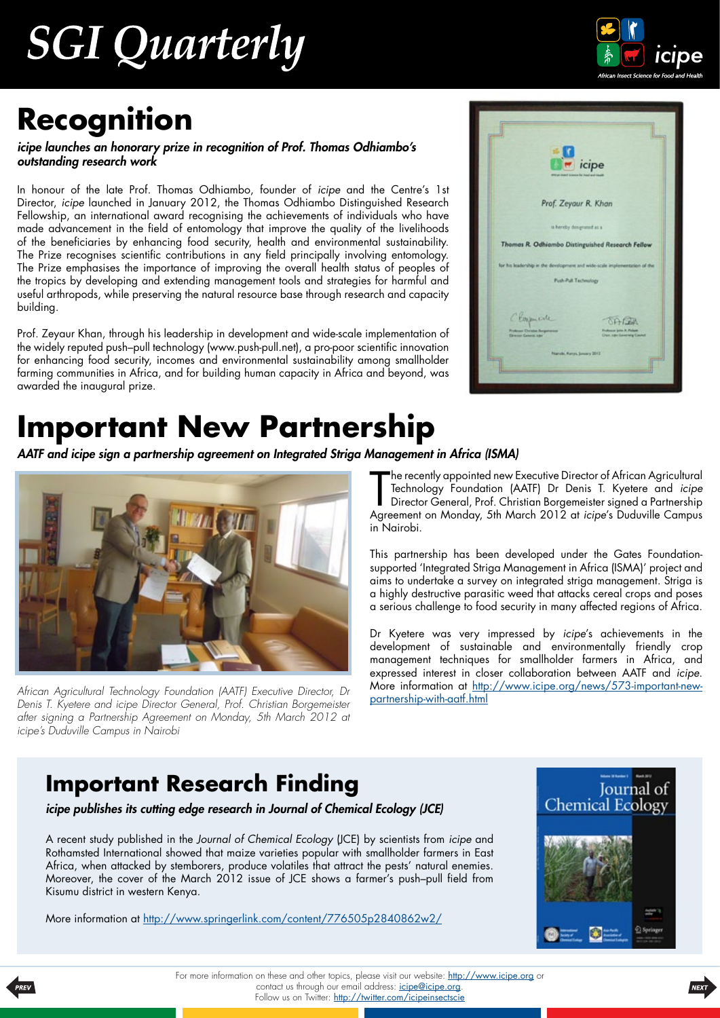# **SGI Quarterly**



## <span id="page-1-0"></span>**Recognition**

*icipe launches an honorary prize in recognition of Prof. Thomas Odhiambo's outstanding research work*

In honour of the late Prof. Thomas Odhiambo, founder of *icipe* and the Centre's 1st Director, *icipe* launched in January 2012, the Thomas Odhiambo Distinguished Research Fellowship, an international award recognising the achievements of individuals who have made advancement in the field of entomology that improve the quality of the livelihoods of the beneficiaries by enhancing food security, health and environmental sustainability. The Prize recognises scientific contributions in any field principally involving entomology. The Prize emphasises the importance of improving the overall health status of peoples of the tropics by developing and extending management tools and strategies for harmful and useful arthropods, while preserving the natural resource base through research and capacity building.

Prof. Zeyaur Khan, through his leadership in development and wide-scale implementation of the widely reputed push–pull technology (www.push-pull.net), a pro-poor scientific innovation for enhancing food security, incomes and environmental sustainability among smallholder farming communities in Africa, and for building human capacity in Africa and beyond, was awarded the inaugural prize.

## <span id="page-1-1"></span>**Important New Partnership**

*AATF and icipe sign a partnership agreement on Integrated Striga Management in Africa (ISMA)*



*African Agricultural Technology Foundation (AATF) Executive Director, Dr Denis T. Kyetere and icipe Director General, Prof. Christian Borgemeister after signing a Partnership Agreement on Monday, 5th March 2012 at icipe's Duduville Campus in Nairobi*



The recently appointed new Executive Director of African Agricultural<br>Technology Foundation (AATF) Dr Denis T. Kyetere and *icipe*<br>Director General, Prof. Christian Borgemeister signed a Partnership<br>Agreement on Monday, 5t he recently appointed new Executive Director of African Agricultural Technology Foundation (AATF) Dr Denis T. Kyetere and *icipe* Director General, Prof. Christian Borgemeister signed a Partnership in Nairobi.

This partnership has been developed under the Gates Foundationsupported 'Integrated Striga Management in Africa (ISMA)' project and aims to undertake a survey on integrated striga management. Striga is a highly destructive parasitic weed that attacks cereal crops and poses a serious challenge to food security in many affected regions of Africa.

Dr Kyetere was very impressed by *icipe*'s achievements in the development of sustainable and environmentally friendly crop management techniques for smallholder farmers in Africa, and expressed interest in closer collaboration between AATF and *icipe*. More information at [http://www.icipe.org/news/573-important-new](http://www.icipe.org/news/573-important-new-partnership-with-aatf.html)[partnership-with-aatf.html](http://www.icipe.org/news/573-important-new-partnership-with-aatf.html)

### <span id="page-1-2"></span>**Important Research Finding**

*icipe publishes its cutting edge research in Journal of Chemical Ecology (JCE)*

A recent study published in the *Journal of Chemical Ecology* (JCE) by scientists from *icipe* and Rothamsted International showed that maize varieties popular with smallholder farmers in East Africa, when attacked by stemborers, produce volatiles that attract the pests' natural enemies. Moreover, the cover of the March 2012 issue of JCE shows a farmer's push–pull field from Kisumu district in western Kenya.

More information at http://www.springerlink.com/content/776505p2840862w2/